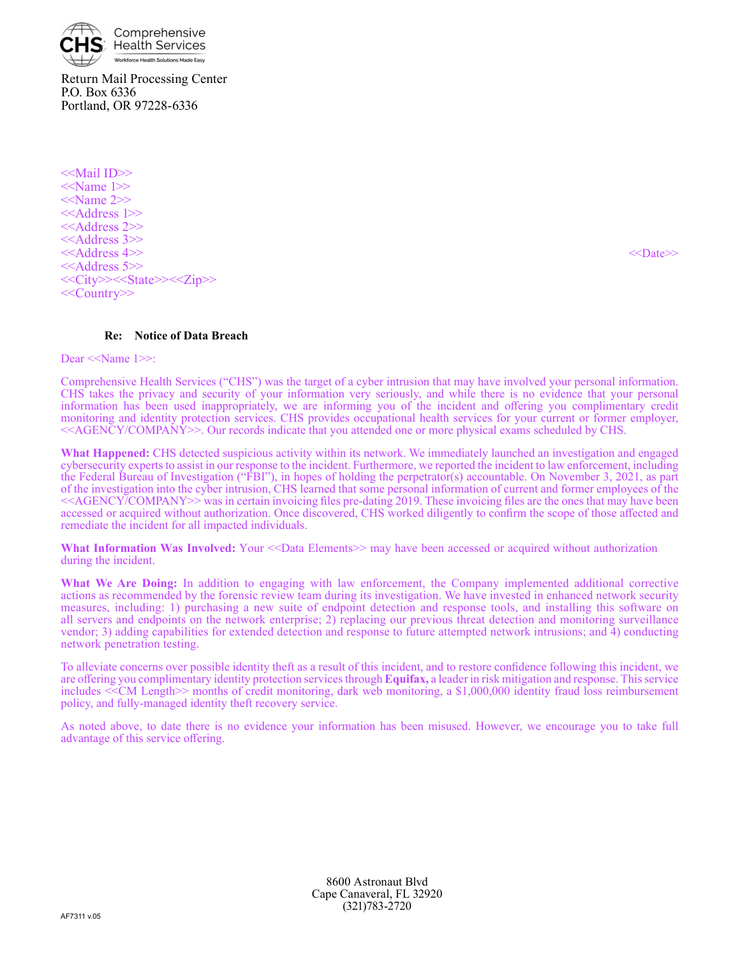

Return Mail Processing Center P.O. Box 6336 Portland, OR 97228-6336

<<Mail ID>> <<Name 1>> <<Name 2>> <<Address 1>> <<Address 2>> <<Address 3>> <<Address 4>> <<Date>> <<Address 5>> <<City>><<State>><<Zip>> <<Country>>

**Re: Notice of Data Breach**

Dear <<Name 1>>:

Comprehensive Health Services ("CHS") was the target of a cyber intrusion that may have involved your personal information. CHS takes the privacy and security of your information very seriously, and while there is no evidence that your personal information has been used inappropriately, we are informing you of the incident and offering you complimentary credit monitoring and identity protection services. CHS provides occupational health services for your current or former employer, <<AGENCY/COMPANY>>. Our records indicate that you attended one or more physical exams scheduled by CHS.

**What Happened:** CHS detected suspicious activity within its network. We immediately launched an investigation and engaged cybersecurity experts to assist in our response to the incident. Furthermore, we reported the incident to law enforcement, including the Federal Bureau of Investigation ("FBI"), in hopes of holding the perpetrator(s) accountable. On November 3, 2021, as part of the investigation into the cyber intrusion, CHS learned that some personal information of current and former employees of the <<AGENCY/COMPANY>> was in certain invoicing files pre-dating 2019. These invoicing files are the ones that may have been accessed or acquired without authorization. Once discovered, CHS worked diligently to confirm the scope of those affected and remediate the incident for all impacted individuals.

**What Information Was Involved:** Your  $\le$ Data Elements  $\ge$  may have been accessed or acquired without authorization during the incident.

**What We Are Doing:** In addition to engaging with law enforcement, the Company implemented additional corrective actions as recommended by the forensic review team during its investigation. We have invested in enhanced network security measures, including: 1) purchasing a new suite of endpoint detection and response tools, and installing this software on all servers and endpoints on the network enterprise; 2) replacing our previous threat detection and monitoring surveillance vendor; 3) adding capabilities for extended detection and response to future attempted network intrusions; and 4) conducting network penetration testing.

To alleviate concerns over possible identity theft as a result of this incident, and to restore confidence following this incident, we are offering you complimentary identity protection services through **Equifax,** a leader in risk mitigation and response. This service includes <<CM Length>> months of credit monitoring, dark web monitoring, a \$1,000,000 identity fraud loss reimbursement policy, and fully-managed identity theft recovery service.

As noted above, to date there is no evidence your information has been misused. However, we encourage you to take full advantage of this service offering.

> 8600 Astronaut Blvd Cape Canaveral, FL 32920 (321)783-2720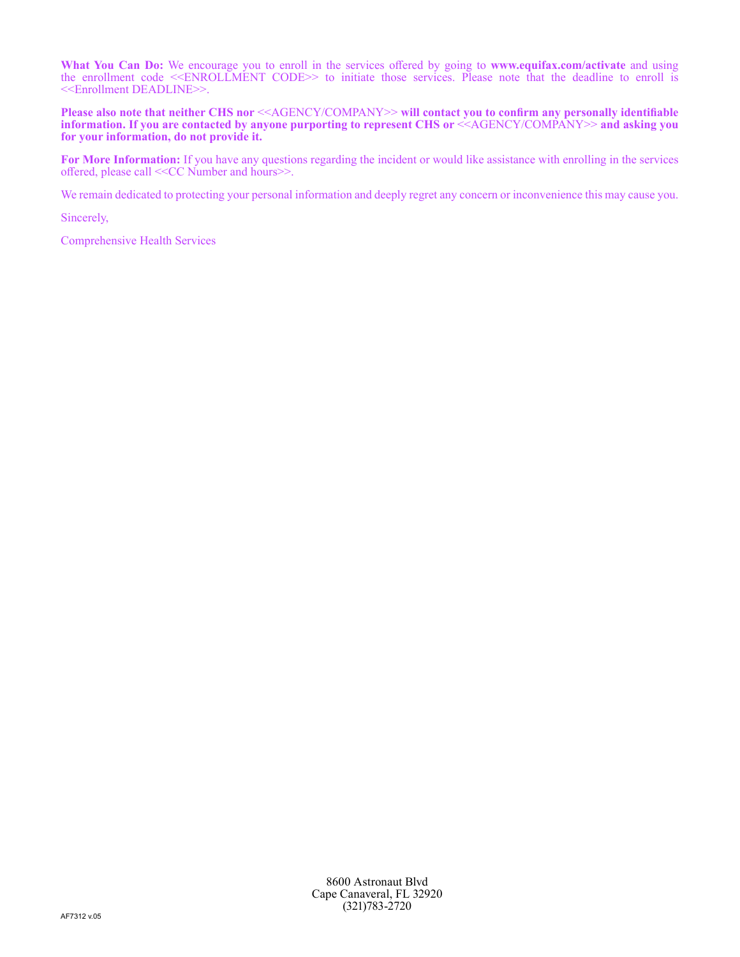**What You Can Do:** We encourage you to enroll in the services offered by going to **www.equifax.com/activate** and using the enrollment code <<ENROLLMENT CODE>> to initiate those services. Please note that the deadline to enroll is <<Enrollment DEADLINE>>.

**Please also note that neither CHS nor** <<AGENCY/COMPANY>> **will contact you to confirm any personally identifiable information. If you are contacted by anyone purporting to represent CHS or** <<AGENCY/COMPANY>> **and asking you for your information, do not provide it.**

**For More Information:** If you have any questions regarding the incident or would like assistance with enrolling in the services offered, please call <<CC Number and hours>>.

We remain dedicated to protecting your personal information and deeply regret any concern or inconvenience this may cause you.

Sincerely,

Comprehensive Health Services